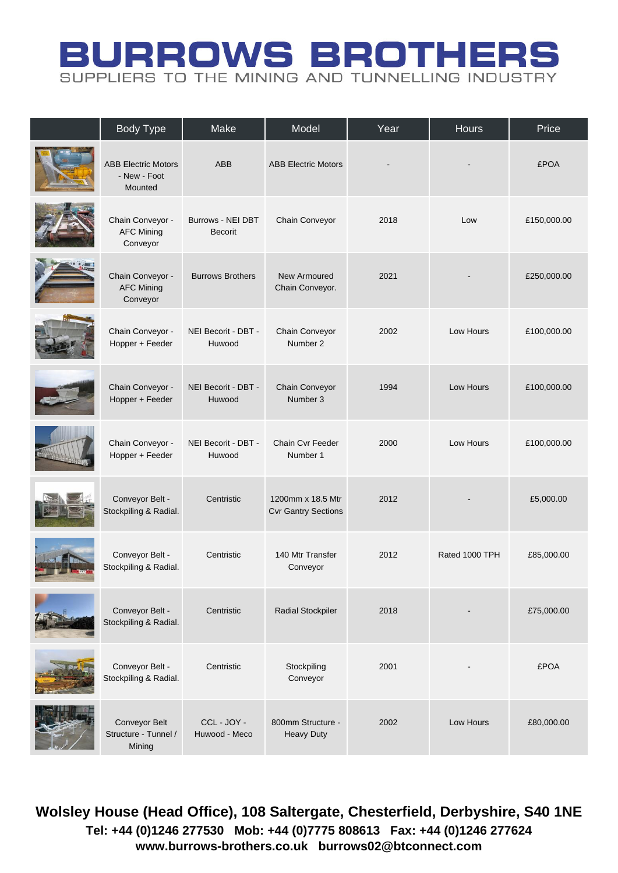## **BURROWS BROTHERS** SUPPLIERS TO THE MINING AND TUNNELLING INDUSTRY

| <b>Body Type</b>                                      | Make                                       | Model                                           | Year | <b>Hours</b>   | Price       |
|-------------------------------------------------------|--------------------------------------------|-------------------------------------------------|------|----------------|-------------|
| <b>ABB Electric Motors</b><br>- New - Foot<br>Mounted | <b>ABB</b>                                 | <b>ABB Electric Motors</b>                      |      |                | <b>£POA</b> |
| Chain Conveyor -<br><b>AFC Mining</b><br>Conveyor     | <b>Burrows - NEI DBT</b><br><b>Becorit</b> | Chain Conveyor                                  | 2018 | Low            | £150,000.00 |
| Chain Conveyor -<br><b>AFC Mining</b><br>Conveyor     | <b>Burrows Brothers</b>                    | New Armoured<br>Chain Conveyor.                 | 2021 |                | £250,000.00 |
| Chain Conveyor -<br>Hopper + Feeder                   | NEI Becorit - DBT -<br>Huwood              | Chain Conveyor<br>Number 2                      | 2002 | Low Hours      | £100,000.00 |
| Chain Conveyor -<br>Hopper + Feeder                   | NEI Becorit - DBT -<br>Huwood              | Chain Conveyor<br>Number 3                      | 1994 | Low Hours      | £100,000.00 |
| Chain Conveyor -<br>Hopper + Feeder                   | NEI Becorit - DBT -<br>Huwood              | Chain Cvr Feeder<br>Number 1                    | 2000 | Low Hours      | £100,000.00 |
| Conveyor Belt -<br>Stockpiling & Radial.              | Centristic                                 | 1200mm x 18.5 Mtr<br><b>Cvr Gantry Sections</b> | 2012 |                | £5,000.00   |
| Conveyor Belt -<br>Stockpiling & Radial.              | Centristic                                 | 140 Mtr Transfer<br>Conveyor                    | 2012 | Rated 1000 TPH | £85,000.00  |
| Conveyor Belt -<br>Stockpiling & Radial.              | Centristic                                 | <b>Radial Stockpiler</b>                        | 2018 |                | £75,000.00  |
| Conveyor Belt -<br>Stockpiling & Radial.              | Centristic                                 | Stockpiling<br>Conveyor                         | 2001 |                | <b>£POA</b> |
| Conveyor Belt<br>Structure - Tunnel /<br>Mining       | CCL-JOY-<br>Huwood - Meco                  | 800mm Structure -<br><b>Heavy Duty</b>          | 2002 | Low Hours      | £80,000.00  |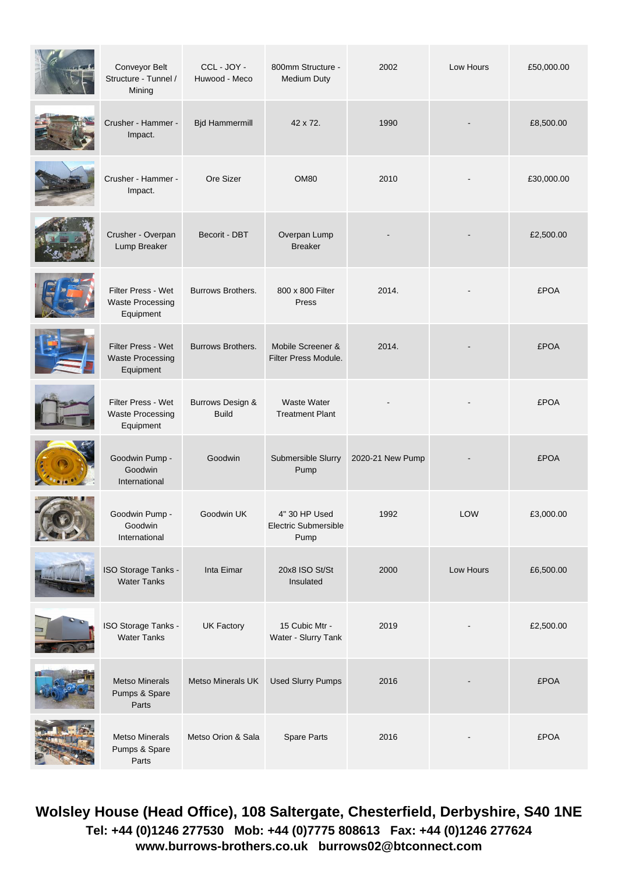| Conveyor Belt<br>Structure - Tunnel /<br>Mining            | CCL-JOY-<br>Huwood - Meco        | 800mm Structure -<br><b>Medium Duty</b>       | 2002             | Low Hours  | £50,000.00  |
|------------------------------------------------------------|----------------------------------|-----------------------------------------------|------------------|------------|-------------|
| Crusher - Hammer -<br>Impact.                              | <b>Bjd Hammermill</b>            | 42 x 72.                                      | 1990             |            | £8,500.00   |
| Crusher - Hammer -<br>Impact.                              | Ore Sizer                        | <b>OM80</b>                                   | 2010             |            | £30,000.00  |
| Crusher - Overpan<br>Lump Breaker                          | Becorit - DBT                    | Overpan Lump<br><b>Breaker</b>                |                  |            | £2,500.00   |
| Filter Press - Wet<br><b>Waste Processing</b><br>Equipment | <b>Burrows Brothers.</b>         | 800 x 800 Filter<br>Press                     | 2014.            |            | <b>£POA</b> |
| Filter Press - Wet<br><b>Waste Processing</b><br>Equipment | Burrows Brothers.                | Mobile Screener &<br>Filter Press Module.     | 2014.            |            | <b>£POA</b> |
| Filter Press - Wet<br><b>Waste Processing</b><br>Equipment | Burrows Design &<br><b>Build</b> | <b>Waste Water</b><br><b>Treatment Plant</b>  |                  |            | <b>£POA</b> |
| Goodwin Pump -<br>Goodwin<br>International                 | Goodwin                          | Submersible Slurry<br>Pump                    | 2020-21 New Pump |            | <b>£POA</b> |
| Goodwin Pump -<br>Goodwin<br>International                 | Goodwin UK                       | 4" 30 HP Used<br>Electric Submersible<br>Pump | 1992             | <b>LOW</b> | £3,000.00   |
| ISO Storage Tanks -<br><b>Water Tanks</b>                  | Inta Eimar                       | 20x8 ISO St/St<br>Insulated                   | 2000             | Low Hours  | £6,500.00   |
| ISO Storage Tanks -<br><b>Water Tanks</b>                  | <b>UK Factory</b>                | 15 Cubic Mtr -<br>Water - Slurry Tank         | 2019             |            | £2,500.00   |
| <b>Metso Minerals</b><br>Pumps & Spare<br>Parts            | Metso Minerals UK                | <b>Used Slurry Pumps</b>                      | 2016             |            | <b>£POA</b> |
| <b>Metso Minerals</b><br>Pumps & Spare<br>Parts            | Metso Orion & Sala               | Spare Parts                                   | 2016             |            | <b>£POA</b> |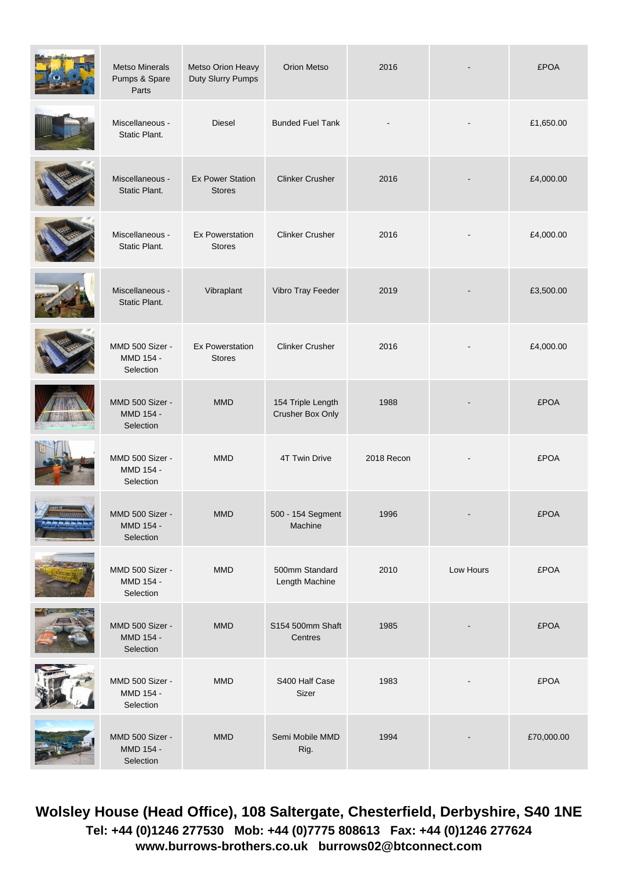| <b>Metso Minerals</b><br>Pumps & Spare<br>Parts | Metso Orion Heavy<br>Duty Slurry Pumps   | Orion Metso                           | 2016       |           | <b>£POA</b> |
|-------------------------------------------------|------------------------------------------|---------------------------------------|------------|-----------|-------------|
| Miscellaneous -<br>Static Plant.                | Diesel                                   | <b>Bunded Fuel Tank</b>               |            |           | £1,650.00   |
| Miscellaneous -<br>Static Plant.                | <b>Ex Power Station</b><br><b>Stores</b> | <b>Clinker Crusher</b>                | 2016       |           | £4,000.00   |
| Miscellaneous -<br>Static Plant.                | <b>Ex Powerstation</b><br><b>Stores</b>  | <b>Clinker Crusher</b>                | 2016       |           | £4,000.00   |
| Miscellaneous -<br>Static Plant.                | Vibraplant                               | Vibro Tray Feeder                     | 2019       |           | £3,500.00   |
| MMD 500 Sizer -<br>MMD 154 -<br>Selection       | <b>Ex Powerstation</b><br><b>Stores</b>  | <b>Clinker Crusher</b>                | 2016       |           | £4,000.00   |
| MMD 500 Sizer -<br>MMD 154 -<br>Selection       | <b>MMD</b>                               | 154 Triple Length<br>Crusher Box Only | 1988       |           | <b>£POA</b> |
| MMD 500 Sizer -<br>MMD 154 -<br>Selection       | <b>MMD</b>                               | 4T Twin Drive                         | 2018 Recon |           | <b>£POA</b> |
| MMD 500 Sizer -<br>MMD 154 -<br>Selection       | <b>MMD</b>                               | 500 - 154 Segment<br>Machine          | 1996       |           | <b>£POA</b> |
| MMD 500 Sizer -<br>MMD 154 -<br>Selection       | <b>MMD</b>                               | 500mm Standard<br>Length Machine      | 2010       | Low Hours | <b>£POA</b> |
| MMD 500 Sizer -<br>MMD 154 -<br>Selection       | <b>MMD</b>                               | S154 500mm Shaft<br>Centres           | 1985       |           | <b>£POA</b> |
| MMD 500 Sizer -<br>MMD 154 -<br>Selection       | MMD                                      | S400 Half Case<br>Sizer               | 1983       |           | <b>£POA</b> |
| MMD 500 Sizer -<br>MMD 154 -<br>Selection       | MMD                                      | Semi Mobile MMD<br>Rig.               | 1994       |           | £70,000.00  |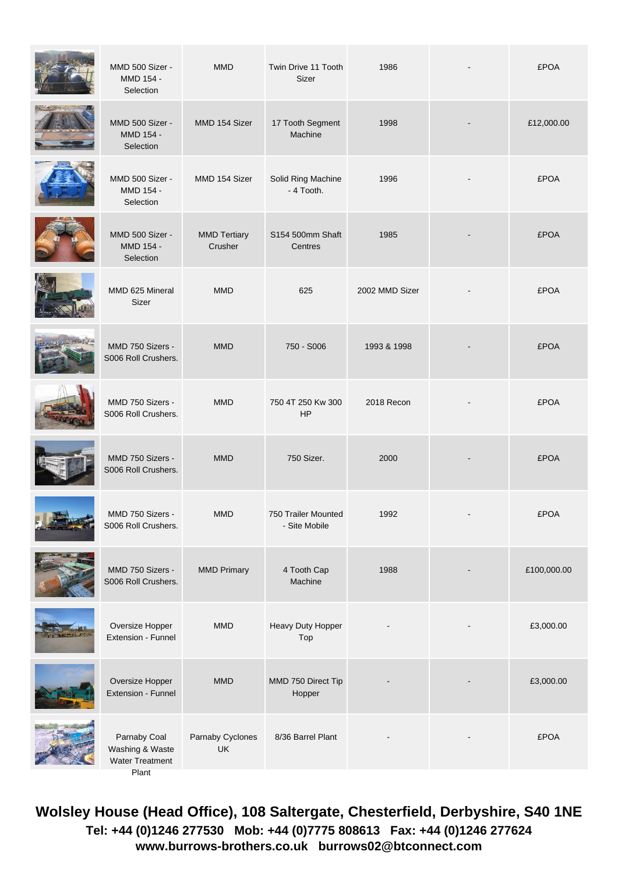| MMD 500 Sizer -<br>MMD 154 -<br>Selection                          | <b>MMD</b>                     | Twin Drive 11 Tooth<br>Sizer         | 1986           | <b>£POA</b> |
|--------------------------------------------------------------------|--------------------------------|--------------------------------------|----------------|-------------|
| MMD 500 Sizer -<br>MMD 154 -<br>Selection                          | MMD 154 Sizer                  | 17 Tooth Segment<br>Machine          | 1998           | £12,000.00  |
| MMD 500 Sizer -<br>MMD 154 -<br>Selection                          | MMD 154 Sizer                  | Solid Ring Machine<br>- 4 Tooth.     | 1996           | <b>£POA</b> |
| MMD 500 Sizer -<br>MMD 154 -<br>Selection                          | <b>MMD Tertiary</b><br>Crusher | S154 500mm Shaft<br>Centres          | 1985           | <b>£POA</b> |
| MMD 625 Mineral<br>Sizer                                           | <b>MMD</b>                     | 625                                  | 2002 MMD Sizer | <b>£POA</b> |
| MMD 750 Sizers -<br>S006 Roll Crushers.                            | <b>MMD</b>                     | 750 - S006                           | 1993 & 1998    | <b>£POA</b> |
| MMD 750 Sizers -<br>S006 Roll Crushers.                            | <b>MMD</b>                     | 750 4T 250 Kw 300<br>HP              | 2018 Recon     | <b>£POA</b> |
| MMD 750 Sizers -<br>S006 Roll Crushers.                            | <b>MMD</b>                     | 750 Sizer.                           | 2000           | <b>£POA</b> |
| MMD 750 Sizers -<br>S006 Roll Crushers.                            | <b>MMD</b>                     | 750 Trailer Mounted<br>- Site Mobile | 1992           | <b>£POA</b> |
| MMD 750 Sizers -<br>S006 Roll Crushers.                            | <b>MMD Primary</b>             | 4 Tooth Cap<br>Machine               | 1988           | £100,000.00 |
| Oversize Hopper<br>Extension - Funnel                              | <b>MMD</b>                     | Heavy Duty Hopper<br>Top             |                | £3,000.00   |
| Oversize Hopper<br>Extension - Funnel                              | <b>MMD</b>                     | MMD 750 Direct Tip<br>Hopper         |                | £3,000.00   |
| Parnaby Coal<br>Washing & Waste<br><b>Water Treatment</b><br>Plant | Parnaby Cyclones<br>UK         | 8/36 Barrel Plant                    |                | <b>£POA</b> |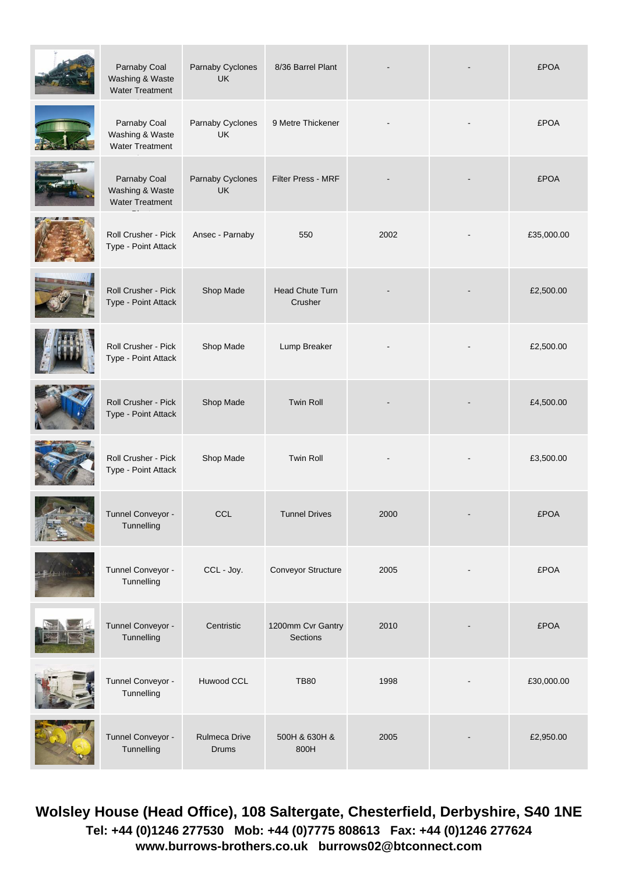| Parnaby Coal<br>Washing & Waste<br><b>Water Treatment</b> | Parnaby Cyclones<br>UK        | 8/36 Barrel Plant                    |      | <b>£POA</b> |
|-----------------------------------------------------------|-------------------------------|--------------------------------------|------|-------------|
| Parnaby Coal<br>Washing & Waste<br><b>Water Treatment</b> | Parnaby Cyclones<br>UK        | 9 Metre Thickener                    |      | <b>£POA</b> |
| Parnaby Coal<br>Washing & Waste<br><b>Water Treatment</b> | Parnaby Cyclones<br><b>UK</b> | <b>Filter Press - MRF</b>            |      | <b>£POA</b> |
| Roll Crusher - Pick<br>Type - Point Attack                | Ansec - Parnaby               | 550                                  | 2002 | £35,000.00  |
| <b>Roll Crusher - Pick</b><br>Type - Point Attack         | Shop Made                     | Head Chute Turn<br>Crusher           |      | £2,500.00   |
| Roll Crusher - Pick<br>Type - Point Attack                | Shop Made                     | Lump Breaker                         |      | £2,500.00   |
| Roll Crusher - Pick<br>Type - Point Attack                | Shop Made                     | Twin Roll                            |      | £4,500.00   |
| Roll Crusher - Pick<br>Type - Point Attack                | Shop Made                     | Twin Roll                            |      | £3,500.00   |
| Tunnel Conveyor -<br>Tunnelling                           | <b>CCL</b>                    | <b>Tunnel Drives</b>                 | 2000 | <b>£POA</b> |
| Tunnel Conveyor -<br>Tunnelling                           | CCL - Joy.                    | Conveyor Structure                   | 2005 | <b>£POA</b> |
| Tunnel Conveyor -<br>Tunnelling                           | Centristic                    | 1200mm Cvr Gantry<br><b>Sections</b> | 2010 | <b>£POA</b> |
| Tunnel Conveyor -<br>Tunnelling                           | Huwood CCL                    | <b>TB80</b>                          | 1998 | £30,000.00  |
| Tunnel Conveyor -<br>Tunnelling                           | Rulmeca Drive<br>Drums        | 500H & 630H &<br>800H                | 2005 | £2,950.00   |